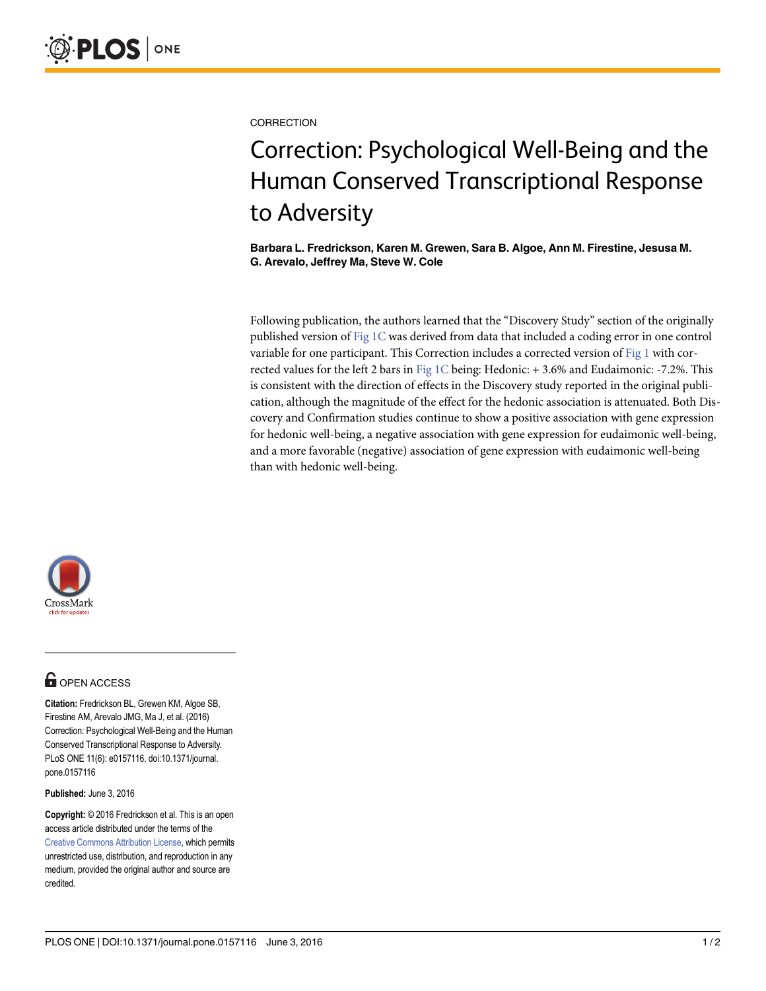**CORRECTION** 

# Correction: Psychological Well-Being and the Human Conserved Transcriptional Response to Adversity

Barbara L. Fredrickson, Karen M. Grewen, Sara B. Algoe, Ann M. Firestine, Jesusa M. G. Arevalo, Jeffrey Ma, Steve W. Cole

Following publication, the authors learned that the "Discovery Study" section of the originally published version of Fig 1C was derived from data that included a coding error in one control variable for one participant. This Correction includes a corrected version of  $Fig 1$  with corrected values for the left 2 bars in Fig  $1C$  being: Hedonic: + 3.6% and Eudaimonic: -7.2%. This is consistent with the direction of effects in the Discovery study reported in the original publication, although the magnitude of the effect for the hedonic association is attenuated. Both Discovery and Confirmation studies continue to show a positive association with gene expression for hedonic well-being, a negative association with gene expression for eudaimonic well-being, and a more favorable (negative) association of gene expression with eudaimonic well-being than with hedonic well-being.



## **OPEN ACCESS**

Citation: Fredrickson BL, Grewen KM, Algoe SB, Firestine AM, Arevalo JMG, Ma J, et al. (2016) Correction: Psychological Well-Being and the Human Conserved Transcriptional Response to Adversity. PLoS ONE 11(6): e0157116. doi:10.1371/journal. pone.0157116

Published: June 3, 2016

Copyright: © 2016 Fredrickson et al. This is an open access article distributed under the terms of the Creative Commons Attribution License, which permits unrestricted use, distribution, and reproduction in any medium, provided the original author and source are credited.